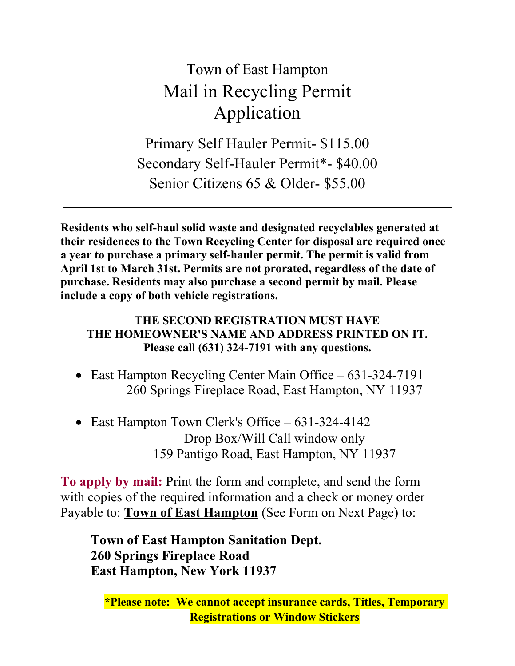# Town of East Hampton Mail in Recycling Permit Application

Primary Self Hauler Permit- \$115.00 Secondary Self-Hauler Permit\*- \$40.00 Senior Citizens 65 & Older- \$55.00

**Residents who self-haul solid waste and designated recyclables generated at their residences to the Town Recycling Center for disposal are required once a year to purchase a primary self-hauler permit. The permit is valid from April 1st to March 31st. Permits are not prorated, regardless of the date of purchase. Residents may also purchase a second permit by mail. Please include a copy of both vehicle registrations.**

#### **THE SECOND REGISTRATION MUST HAVE THE HOMEOWNER'S NAME AND ADDRESS PRINTED ON IT. Please call (631) 324-7191 with any questions.**

- East Hampton Recycling Center Main Office 631-324-7191 260 Springs Fireplace Road, East Hampton, NY 11937
- East Hampton Town Clerk's Office 631-324-4142 Drop Box/Will Call window only 159 Pantigo Road, East Hampton, NY 11937

**To apply by mail:** Print the form and complete, and send the form with copies of the required information and a check or money order Payable to: **Town of East Hampton** (See Form on Next Page) to:

**Town of East Hampton Sanitation Dept. 260 Springs Fireplace Road East Hampton, New York 11937**

**\*Please note: We cannot accept insurance cards, Titles, Temporary Registrations or Window Stickers**